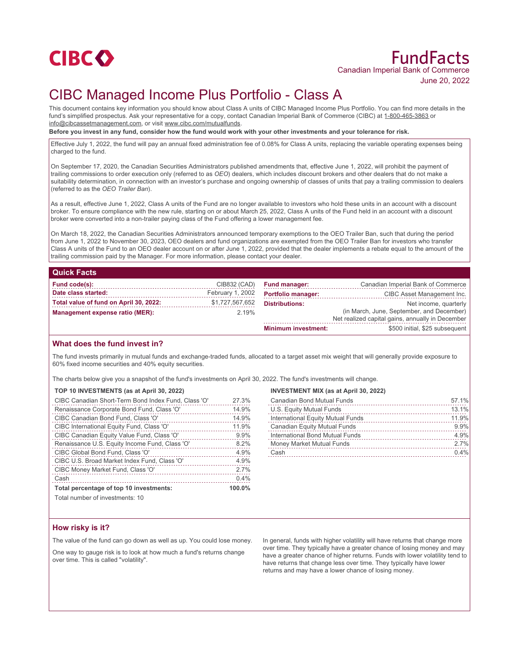

# FundFacts Canadian Imperial Bank of Commerce June 20, 2022

## CIBC Managed Income Plus Portfolio - Class A

This document contains key information you should know about Class A units of CIBC Managed Income Plus Portfolio. You can find more details in the fund's simplified prospectus. Ask your representative for a copy, contact Canadian Imperial Bank of Commerce (CIBC) at 1-800-465-3863 or info@cibcassetmanagement.com, or visit www.cibc.com/mutualfunds.

**Before you invest in any fund, consider how the fund would work with your other investments and your tolerance for risk.**

Effective July 1, 2022, the fund will pay an annual fixed administration fee of 0.08% for Class A units, replacing the variable operating expenses being charged to the fund.

On September 17, 2020, the Canadian Securities Administrators published amendments that, effective June 1, 2022, will prohibit the payment of trailing commissions to order execution only (referred to as *OEO*) dealers, which includes discount brokers and other dealers that do not make a suitability determination, in connection with an investor's purchase and ongoing ownership of classes of units that pay a trailing commission to dealers (referred to as the *OEO Trailer Ban*).

As a result, effective June 1, 2022, Class A units of the Fund are no longer available to investors who hold these units in an account with a discount broker. To ensure compliance with the new rule, starting on or about March 25, 2022, Class A units of the Fund held in an account with a discount broker were converted into a non-trailer paying class of the Fund offering a lower management fee.

On March 18, 2022, the Canadian Securities Administrators announced temporary exemptions to the OEO Trailer Ban, such that during the period from June 1, 2022 to November 30, 2023, OEO dealers and fund organizations are exempted from the OEO Trailer Ban for investors who transfer Class A units of the Fund to an OEO dealer account on or after June 1, 2022, provided that the dealer implements a rebate equal to the amount of the trailing commission paid by the Manager. For more information, please contact your dealer.

### **Quick Facts**

| Fund code(s):                          | CIB832 (CAD)     | <b>Fund manager:</b>      | Canadian Imperial Bank of Commerce               |
|----------------------------------------|------------------|---------------------------|--------------------------------------------------|
| Date class started:                    | February 1, 2002 | <b>Portfolio manager:</b> | CIBC Asset Management Inc.                       |
| Total value of fund on April 30, 2022: | \$1,727,567,652  | <b>Distributions:</b>     | Net income, quarterly                            |
| <b>Management expense ratio (MER):</b> | 2.19%            |                           | (in March, June, September, and December)        |
|                                        |                  |                           | Net realized capital gains, annually in December |
|                                        |                  | Minimum investment:       | \$500 initial \$25 subsequent                    |

### **What does the fund invest in?**

The fund invests primarily in mutual funds and exchange-traded funds, allocated to a target asset mix weight that will generally provide exposure to 60% fixed income securities and 40% equity securities.

The charts below give you a snapshot of the fund's investments on April 30, 2022. The fund's investments will change.

#### **TOP 10 INVESTMENTS (as at April 30, 2022)**

| CIBC Canadian Short-Term Bond Index Fund, Class 'O' | 27.3%  |
|-----------------------------------------------------|--------|
| Renaissance Corporate Bond Fund, Class 'O'          | 14.9%  |
| CIBC Canadian Bond Fund, Class 'O'                  | 14.9%  |
| CIBC International Equity Fund, Class 'O'           | 11.9%  |
| CIBC Canadian Equity Value Fund, Class 'O'          | 9.9%   |
| Renaissance U.S. Equity Income Fund, Class 'O'      | 8.2%   |
| CIBC Global Bond Fund, Class 'O'                    | 4.9%   |
| CIBC U.S. Broad Market Index Fund, Class 'O'        | 4.9%   |
| CIBC Money Market Fund, Class 'O'                   | 2.7%   |
| Cash                                                | 0.4%   |
| Total percentage of top 10 investments:             | 100.0% |
| $T$ otal number of investmenter $40$                |        |

## **INVESTMENT MIX (as at April 30, 2022)**

| <b>Canadian Bond Mutual Funds</b> | 57.1% |
|-----------------------------------|-------|
| U.S. Equity Mutual Funds          | 13.1% |
| International Equity Mutual Funds | 11.9% |
| Canadian Equity Mutual Funds      | 9.9%  |
| International Bond Mutual Funds   | 4.9%  |
| Money Market Mutual Funds         | 2.7%  |
| Cash                              | 0.4%  |
|                                   |       |

Total number of investments: 10

### **How risky is it?**

The value of the fund can go down as well as up. You could lose money.

One way to gauge risk is to look at how much a fund's returns change over time. This is called "volatility".

In general, funds with higher volatility will have returns that change more over time. They typically have a greater chance of losing money and may have a greater chance of higher returns. Funds with lower volatility tend to have returns that change less over time. They typically have lower returns and may have a lower chance of losing money.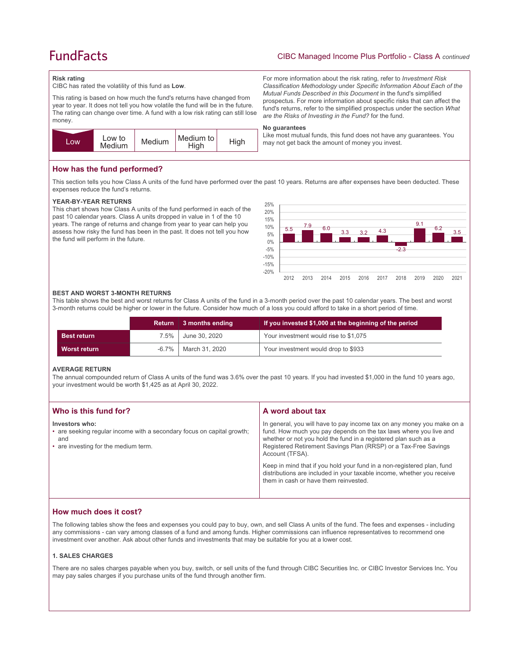## **FundFacts**

## CIBC Managed Income Plus Portfolio - Class A *continued*

For more information about the risk rating, refer to *Investment Risk Classification Methodology* under *Specific Information About Each of the Mutual Funds Described in this Document* in the fund's simplified prospectus. For more information about specific risks that can affect the fund's returns, refer to the simplified prospectus under the section *What* 

Like most mutual funds, this fund does not have any guarantees. You

*are the Risks of Investing in the Fund?* for the fund.

may not get back the amount of money you invest.

### **Risk rating**

CIBC has rated the volatility of this fund as **Low**.

This rating is based on how much the fund's returns have changed from year to year. It does not tell you how volatile the fund will be in the future. The rating can change over time. A fund with a low risk rating can still lose money.



## **How has the fund performed?**

This section tells you how Class A units of the fund have performed over the past 10 years. Returns are after expenses have been deducted. These expenses reduce the fund's returns.

**No guarantees**

#### **YEAR-BY-YEAR RETURNS**

This chart shows how Class A units of the fund performed in each of the past 10 calendar years. Class A units dropped in value in 1 of the 10 years. The range of returns and change from year to year can help you assess how risky the fund has been in the past. It does not tell you how the fund will perform in the future.



#### **BEST AND WORST 3-MONTH RETURNS**

This table shows the best and worst returns for Class A units of the fund in a 3-month period over the past 10 calendar years. The best and worst 3-month returns could be higher or lower in the future. Consider how much of a loss you could afford to take in a short period of time.

|                    | Return   | 3 months ending  | If you invested \$1,000 at the beginning of the period |
|--------------------|----------|------------------|--------------------------------------------------------|
| <b>Best return</b> | 7.5% l   | June 30, 2020    | Your investment would rise to \$1,075                  |
| Worst return       | $-6.7\%$ | │ March 31. 2020 | Your investment would drop to \$933                    |

#### **AVERAGE RETURN**

The annual compounded return of Class A units of the fund was 3.6% over the past 10 years. If you had invested \$1,000 in the fund 10 years ago, your investment would be worth \$1,425 as at April 30, 2022.

| Who is this fund for?                                                                                                                   | A word about tax                                                                                                                                                                                                                                                                                                                                                                                                                                                                                  |
|-----------------------------------------------------------------------------------------------------------------------------------------|---------------------------------------------------------------------------------------------------------------------------------------------------------------------------------------------------------------------------------------------------------------------------------------------------------------------------------------------------------------------------------------------------------------------------------------------------------------------------------------------------|
| Investors who:<br>• are seeking regular income with a secondary focus on capital growth;<br>and<br>• are investing for the medium term. | In general, you will have to pay income tax on any money you make on a<br>fund. How much you pay depends on the tax laws where you live and<br>whether or not you hold the fund in a registered plan such as a<br>Registered Retirement Savings Plan (RRSP) or a Tax-Free Savings<br>Account (TFSA).<br>Keep in mind that if you hold your fund in a non-registered plan, fund<br>distributions are included in your taxable income, whether you receive<br>them in cash or have them reinvested. |
|                                                                                                                                         |                                                                                                                                                                                                                                                                                                                                                                                                                                                                                                   |

## **How much does it cost?**

The following tables show the fees and expenses you could pay to buy, own, and sell Class A units of the fund. The fees and expenses - including any commissions - can vary among classes of a fund and among funds. Higher commissions can influence representatives to recommend one investment over another. Ask about other funds and investments that may be suitable for you at a lower cost.

#### **1. SALES CHARGES**

There are no sales charges payable when you buy, switch, or sell units of the fund through CIBC Securities Inc. or CIBC Investor Services Inc. You may pay sales charges if you purchase units of the fund through another firm.